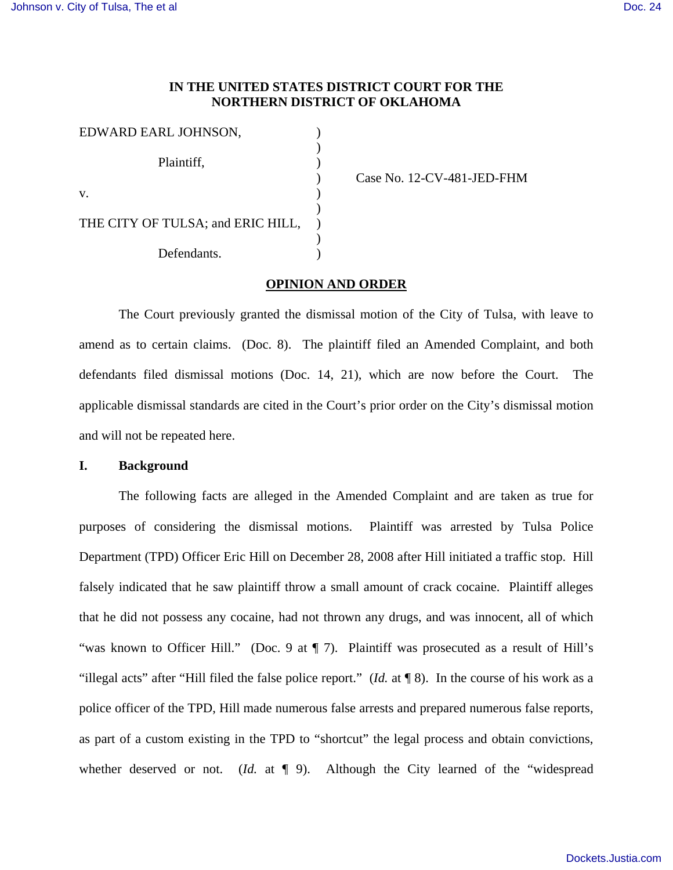# **IN THE UNITED STATES DISTRICT COURT FOR THE NORTHERN DISTRICT OF OKLAHOMA**

| EDWARD EARL JOHNSON,              |  |
|-----------------------------------|--|
|                                   |  |
| Plaintiff,                        |  |
|                                   |  |
| $V_{\star}$                       |  |
|                                   |  |
| THE CITY OF TULSA; and ERIC HILL, |  |
|                                   |  |
| Defendants.                       |  |

) Case No. 12-CV-481-JED-FHM

# **OPINION AND ORDER**

 The Court previously granted the dismissal motion of the City of Tulsa, with leave to amend as to certain claims. (Doc. 8). The plaintiff filed an Amended Complaint, and both defendants filed dismissal motions (Doc. 14, 21), which are now before the Court. The applicable dismissal standards are cited in the Court's prior order on the City's dismissal motion and will not be repeated here.

### **I. Background**

 The following facts are alleged in the Amended Complaint and are taken as true for purposes of considering the dismissal motions. Plaintiff was arrested by Tulsa Police Department (TPD) Officer Eric Hill on December 28, 2008 after Hill initiated a traffic stop. Hill falsely indicated that he saw plaintiff throw a small amount of crack cocaine. Plaintiff alleges that he did not possess any cocaine, had not thrown any drugs, and was innocent, all of which "was known to Officer Hill." (Doc. 9 at  $\P$  7). Plaintiff was prosecuted as a result of Hill's "illegal acts" after "Hill filed the false police report." (*Id.* at ¶ 8). In the course of his work as a police officer of the TPD, Hill made numerous false arrests and prepared numerous false reports, as part of a custom existing in the TPD to "shortcut" the legal process and obtain convictions, whether deserved or not. (*Id.* at  $\P$  9). Although the City learned of the "widespread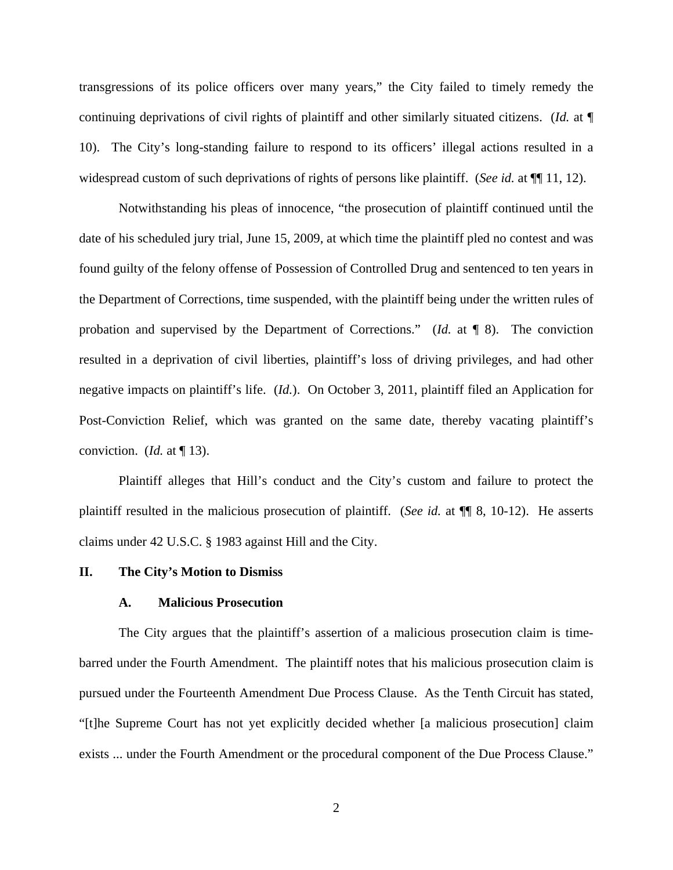transgressions of its police officers over many years," the City failed to timely remedy the continuing deprivations of civil rights of plaintiff and other similarly situated citizens. (*Id.* at ¶ 10). The City's long-standing failure to respond to its officers' illegal actions resulted in a widespread custom of such deprivations of rights of persons like plaintiff. (*See id.* at ¶¶ 11, 12).

 Notwithstanding his pleas of innocence, "the prosecution of plaintiff continued until the date of his scheduled jury trial, June 15, 2009, at which time the plaintiff pled no contest and was found guilty of the felony offense of Possession of Controlled Drug and sentenced to ten years in the Department of Corrections, time suspended, with the plaintiff being under the written rules of probation and supervised by the Department of Corrections." (*Id.* at ¶ 8). The conviction resulted in a deprivation of civil liberties, plaintiff's loss of driving privileges, and had other negative impacts on plaintiff's life. (*Id.*). On October 3, 2011, plaintiff filed an Application for Post-Conviction Relief, which was granted on the same date, thereby vacating plaintiff's conviction. (*Id.* at ¶ 13).

 Plaintiff alleges that Hill's conduct and the City's custom and failure to protect the plaintiff resulted in the malicious prosecution of plaintiff. (*See id.* at ¶¶ 8, 10-12). He asserts claims under 42 U.S.C. § 1983 against Hill and the City.

## **II. The City's Motion to Dismiss**

# **A. Malicious Prosecution**

The City argues that the plaintiff's assertion of a malicious prosecution claim is timebarred under the Fourth Amendment. The plaintiff notes that his malicious prosecution claim is pursued under the Fourteenth Amendment Due Process Clause. As the Tenth Circuit has stated, "[t]he Supreme Court has not yet explicitly decided whether [a malicious prosecution] claim exists ... under the Fourth Amendment or the procedural component of the Due Process Clause."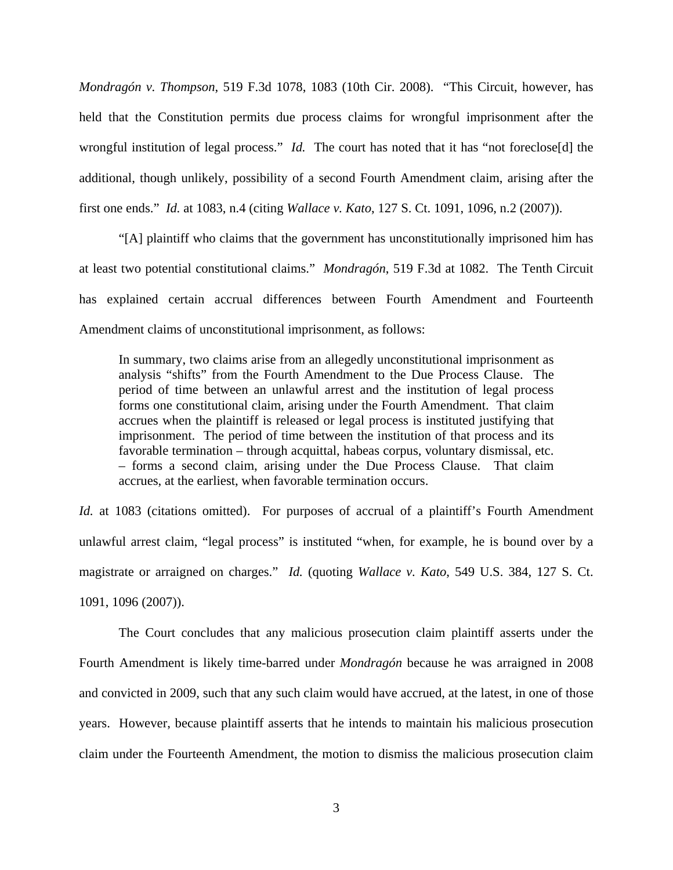*Mondragón v. Thompson*, 519 F.3d 1078, 1083 (10th Cir. 2008). "This Circuit, however, has held that the Constitution permits due process claims for wrongful imprisonment after the wrongful institution of legal process." *Id.* The court has noted that it has "not foreclose[d] the additional, though unlikely, possibility of a second Fourth Amendment claim, arising after the first one ends." *Id.* at 1083, n.4 (citing *Wallace v. Kato*, 127 S. Ct. 1091, 1096, n.2 (2007)).

 "[A] plaintiff who claims that the government has unconstitutionally imprisoned him has at least two potential constitutional claims." *Mondragón*, 519 F.3d at 1082. The Tenth Circuit has explained certain accrual differences between Fourth Amendment and Fourteenth Amendment claims of unconstitutional imprisonment, as follows:

In summary, two claims arise from an allegedly unconstitutional imprisonment as analysis "shifts" from the Fourth Amendment to the Due Process Clause. The period of time between an unlawful arrest and the institution of legal process forms one constitutional claim, arising under the Fourth Amendment. That claim accrues when the plaintiff is released or legal process is instituted justifying that imprisonment. The period of time between the institution of that process and its favorable termination – through acquittal, habeas corpus, voluntary dismissal, etc. – forms a second claim, arising under the Due Process Clause. That claim accrues, at the earliest, when favorable termination occurs.

*Id.* at 1083 (citations omitted). For purposes of accrual of a plaintiff's Fourth Amendment unlawful arrest claim, "legal process" is instituted "when, for example, he is bound over by a magistrate or arraigned on charges." *Id.* (quoting *Wallace v. Kato*, 549 U.S. 384, 127 S. Ct. 1091, 1096 (2007)).

 The Court concludes that any malicious prosecution claim plaintiff asserts under the Fourth Amendment is likely time-barred under *Mondragón* because he was arraigned in 2008 and convicted in 2009, such that any such claim would have accrued, at the latest, in one of those years. However, because plaintiff asserts that he intends to maintain his malicious prosecution claim under the Fourteenth Amendment, the motion to dismiss the malicious prosecution claim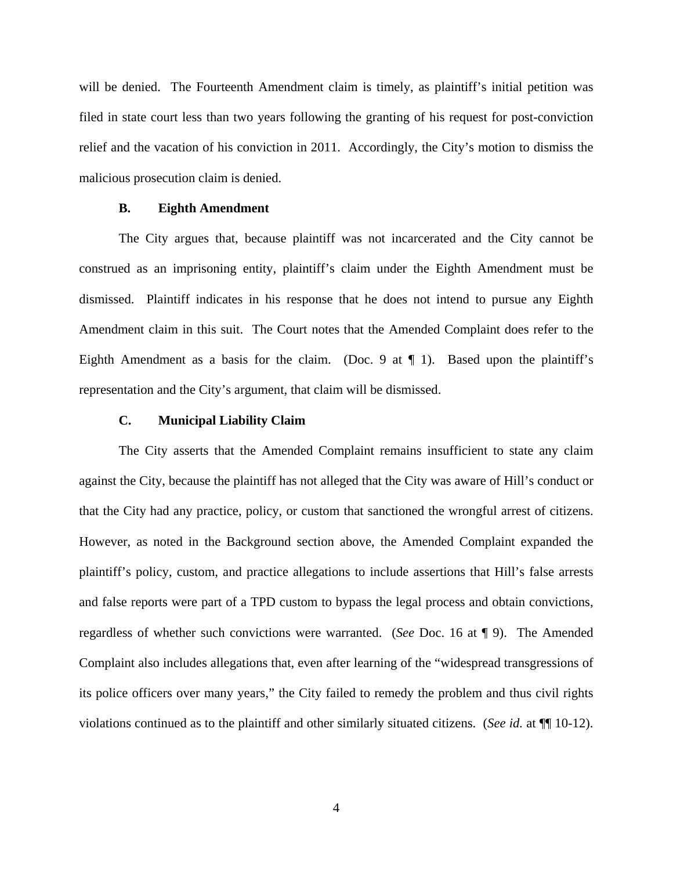will be denied. The Fourteenth Amendment claim is timely, as plaintiff's initial petition was filed in state court less than two years following the granting of his request for post-conviction relief and the vacation of his conviction in 2011. Accordingly, the City's motion to dismiss the malicious prosecution claim is denied.

## **B. Eighth Amendment**

 The City argues that, because plaintiff was not incarcerated and the City cannot be construed as an imprisoning entity, plaintiff's claim under the Eighth Amendment must be dismissed. Plaintiff indicates in his response that he does not intend to pursue any Eighth Amendment claim in this suit. The Court notes that the Amended Complaint does refer to the Eighth Amendment as a basis for the claim. (Doc. 9 at  $\P$  1). Based upon the plaintiff's representation and the City's argument, that claim will be dismissed.

### **C. Municipal Liability Claim**

 The City asserts that the Amended Complaint remains insufficient to state any claim against the City, because the plaintiff has not alleged that the City was aware of Hill's conduct or that the City had any practice, policy, or custom that sanctioned the wrongful arrest of citizens. However, as noted in the Background section above, the Amended Complaint expanded the plaintiff's policy, custom, and practice allegations to include assertions that Hill's false arrests and false reports were part of a TPD custom to bypass the legal process and obtain convictions, regardless of whether such convictions were warranted. (*See* Doc. 16 at ¶ 9). The Amended Complaint also includes allegations that, even after learning of the "widespread transgressions of its police officers over many years," the City failed to remedy the problem and thus civil rights violations continued as to the plaintiff and other similarly situated citizens. (*See id.* at ¶¶ 10-12).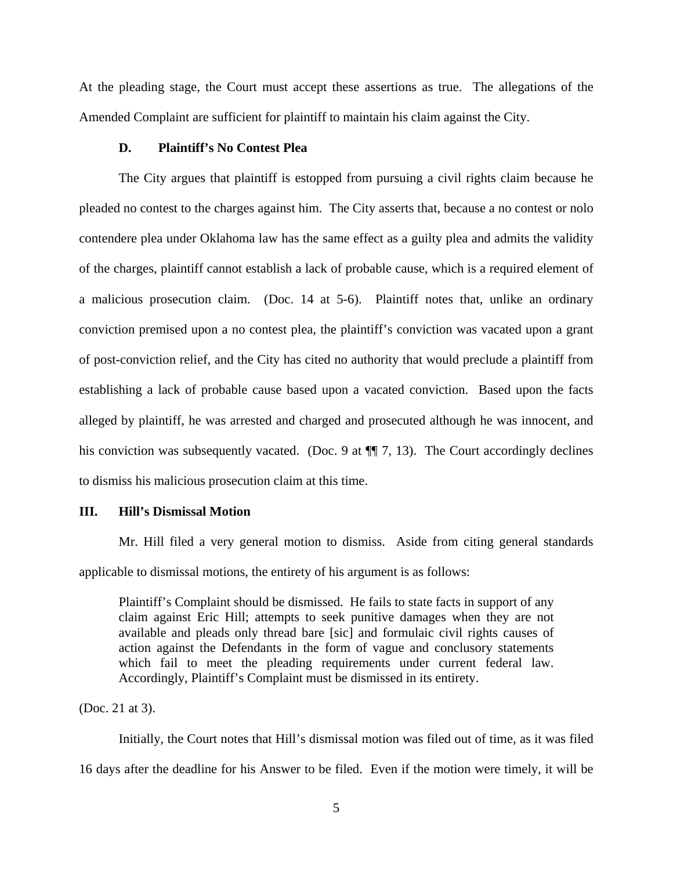At the pleading stage, the Court must accept these assertions as true. The allegations of the Amended Complaint are sufficient for plaintiff to maintain his claim against the City.

## **D. Plaintiff's No Contest Plea**

 The City argues that plaintiff is estopped from pursuing a civil rights claim because he pleaded no contest to the charges against him. The City asserts that, because a no contest or nolo contendere plea under Oklahoma law has the same effect as a guilty plea and admits the validity of the charges, plaintiff cannot establish a lack of probable cause, which is a required element of a malicious prosecution claim. (Doc. 14 at 5-6). Plaintiff notes that, unlike an ordinary conviction premised upon a no contest plea, the plaintiff's conviction was vacated upon a grant of post-conviction relief, and the City has cited no authority that would preclude a plaintiff from establishing a lack of probable cause based upon a vacated conviction. Based upon the facts alleged by plaintiff, he was arrested and charged and prosecuted although he was innocent, and his conviction was subsequently vacated. (Doc. 9 at  $\P$  7, 13). The Court accordingly declines to dismiss his malicious prosecution claim at this time.

### **III. Hill's Dismissal Motion**

 Mr. Hill filed a very general motion to dismiss. Aside from citing general standards applicable to dismissal motions, the entirety of his argument is as follows:

Plaintiff's Complaint should be dismissed. He fails to state facts in support of any claim against Eric Hill; attempts to seek punitive damages when they are not available and pleads only thread bare [sic] and formulaic civil rights causes of action against the Defendants in the form of vague and conclusory statements which fail to meet the pleading requirements under current federal law. Accordingly, Plaintiff's Complaint must be dismissed in its entirety.

(Doc. 21 at 3).

 Initially, the Court notes that Hill's dismissal motion was filed out of time, as it was filed 16 days after the deadline for his Answer to be filed. Even if the motion were timely, it will be